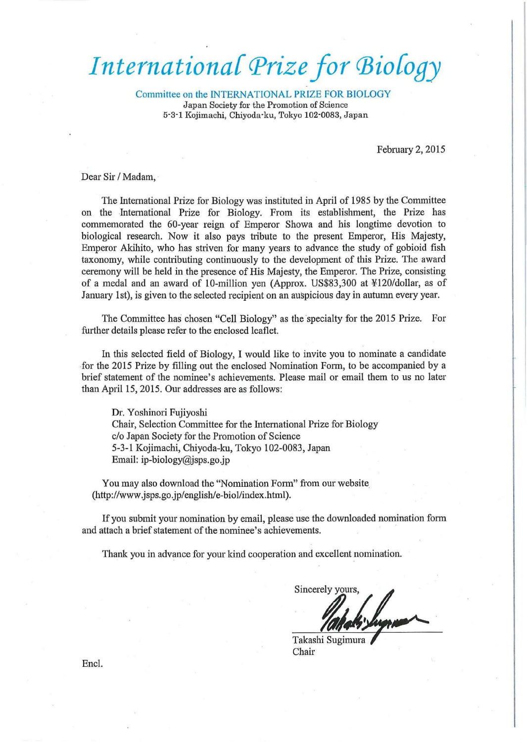## *International Prize for Biology*

Committee on the INTERNATIONAL PRIZE FOR BIOLOGY Japan Society for the Promotion of Science 5·3·1 Kojimachi, Chiyoda·ku, Tokyo 102·0083, Japan

February 2, 2015

Dear Sir / Madam,

The International Prize for Biology was instituted in April of 1985 by the Committee on the International Prize for Biology. From its establishment, the Prize has commemorated the 60-year reign of Emperor Showa and his longtime devotion to biological research. Now it also pays tribute to the present Emperor, His Majesty, Emperor Akihito, who has striven for many years to advance the study of gobioid fish taxonomy, while contributing continuously to the development of this Prize. The award ceremony will be held in the presence of His Majesty, the Emperor. The Prize, consisting of a medal and an award of 10-million yen (Approx. US\$83,300 at ¥120/dollar, as of January 1st), is given to the selected recipient on an auspicious day in autumn every year.

The Committee has chosen "Cell Biology" as the specialty for the 2015 Prize. For further details please refer to the enclosed leaflet.

In this selected field of Biology, I would like to invite you to nominate a candidate for the 2015 Prize by filling out the enclosed Nomination Form, to be accompanied by a brief statement of the nominee's achievements. Please mail or email them to us no later than April 15, 2015. Our addresses are as follows:

Dr. Yoshinori Fujiyoshi Chair, Selection Committee for the International Prize for Biology c/o Japan Society for the Promotion of Science 5-3-1 Kojimachi, Chiyoda-ku, Tokyo 102-0083, Japan Email: ip-biology@jsps.go.jp

You may also download the "Nomination Form" from our website. (http://www .jsps.go.jp/english/e-biol/index.html).

If you submit your nomination by email, please use the downloaded nomination form and attach a brief statement of the nominee's achievements.

Thank you in advance for your kind cooperation and excellent nomination.

Sincerely yours

Takashi Sugimura Chair

Encl.